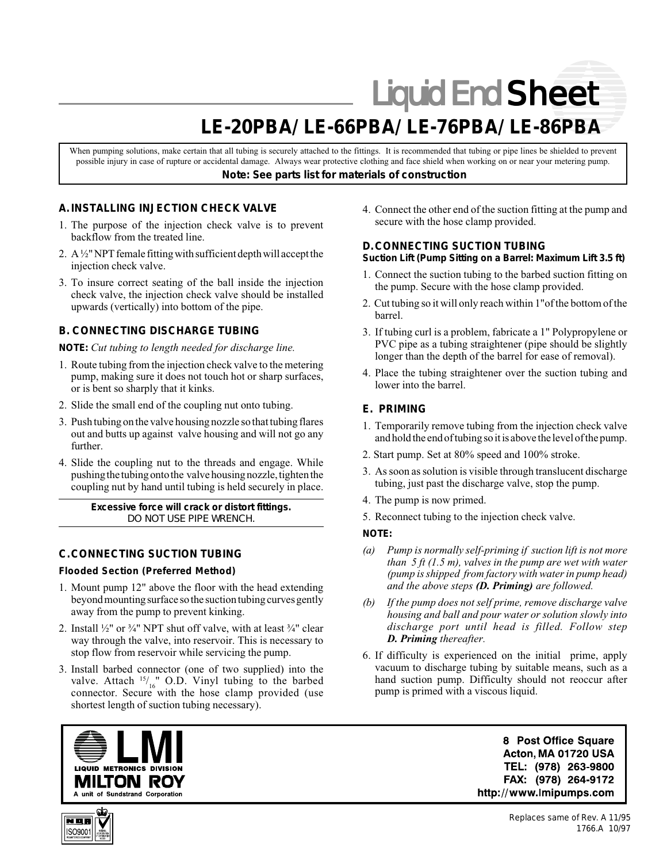# Liquid End Sheet

# **LE-20PBA/ LE-66PBA/ LE-76PBA/ LE-86PBA**

When pumping solutions, make certain that all tubing is securely attached to the fittings. It is recommended that tubing or pipe lines be shielded to prevent possible injury in case of rupture or accidental damage. Always wear protective clothing and face shield when working on or near your metering pump. *Note: See parts list for materials of construction*

# **A. INSTALLING INJECTION CHECK VALVE**

- 1. The purpose of the injection check valve is to prevent backflow from the treated line.
- 2. A ½" NPT female fitting with sufficient depth will accept the injection check valve.
- 3. To insure correct seating of the ball inside the injection check valve, the injection check valve should be installed upwards (vertically) into bottom of the pipe.

## **B. CONNECTING DISCHARGE TUBING**

*NOTE: Cut tubing to length needed for discharge line.*

- 1. Route tubing from the injection check valve to the metering pump, making sure it does not touch hot or sharp surfaces, or is bent so sharply that it kinks.
- 2. Slide the small end of the coupling nut onto tubing.
- 3. Push tubing on the valve housing nozzle so that tubing flares out and butts up against valve housing and will not go any further.
- 4. Slide the coupling nut to the threads and engage. While pushing the tubing onto the valve housing nozzle, tighten the coupling nut by hand until tubing is held securely in place.

*Excessive force will crack or distort fittings. DO NOT USE PIPE WRENCH.*

# **C.CONNECTING SUCTION TUBING**

#### **Flooded Section (Preferred Method)**

- 1. Mount pump 12" above the floor with the head extending beyond mounting surface so the suction tubing curves gently away from the pump to prevent kinking.
- 2. Install  $\frac{1}{2}$ " or  $\frac{3}{4}$ " NPT shut off valve, with at least  $\frac{3}{4}$ " clear way through the valve, into reservoir. This is necessary to stop flow from reservoir while servicing the pump.
- 3. Install barbed connector (one of two supplied) into the valve. Attach  $15/16$  O.D. Vinyl tubing to the barbed connector. Secure with the hose clamp provided (use shortest length of suction tubing necessary).

4. Connect the other end of the suction fitting at the pump and secure with the hose clamp provided.

#### **D.CONNECTING SUCTION TUBING Suction Lift (Pump Sitting on a Barrel: Maximum Lift 3.5 ft)**

- 1. Connect the suction tubing to the barbed suction fitting on the pump. Secure with the hose clamp provided.
- 2. Cut tubing so it will only reach within 1"of the bottom of the barrel.
- 3. If tubing curl is a problem, fabricate a 1" Polypropylene or PVC pipe as a tubing straightener (pipe should be slightly longer than the depth of the barrel for ease of removal).
- 4. Place the tubing straightener over the suction tubing and lower into the barrel.

## **E. PRIMING**

- 1. Temporarily remove tubing from the injection check valve and hold the end of tubing so it is above the level of the pump.
- 2. Start pump. Set at 80% speed and 100% stroke.
- 3. As soon as solution is visible through translucent discharge tubing, just past the discharge valve, stop the pump.
- 4. The pump is now primed.
- 5. Reconnect tubing to the injection check valve.

#### *NOTE:*

- *(a) Pump is normally self-priming if suction lift is not more than 5 ft (1.5 m), valves in the pump are wet with water (pump is shipped from factory with water in pump head) and the above steps (D. Priming) are followed.*
- *(b) If the pump does not self prime, remove discharge valve housing and ball and pour water or solution slowly into discharge port until head is filled. Follow step D. Priming thereafter.*
- 6. If difficulty is experienced on the initial prime, apply vacuum to discharge tubing by suitable means, such as a hand suction pump. Difficulty should not reoccur after pump is primed with a viscous liquid.



8 Post Office Square Acton, MA 01720 USA TEL: (978) 263-9800 FAX: (978) 264-9172 http://www.lmipumps.com